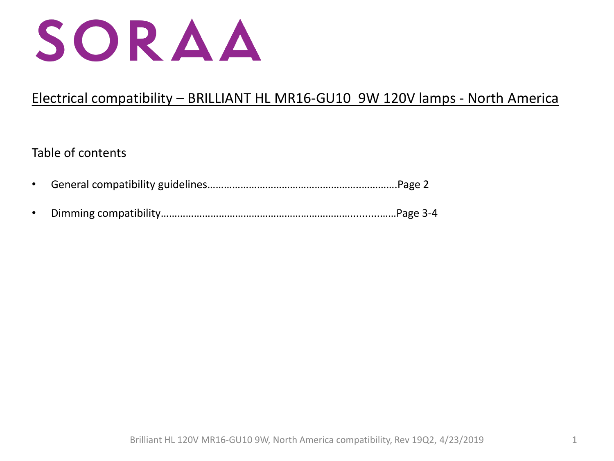

# Electrical compatibility – BRILLIANT HL MR16-GU10 9W 120V lamps - North America

## Table of contents

- General compatibility guidelines………………………………………………..………….Page 2
- Dimming compatibility……………………………………………………………..........……Page 3-4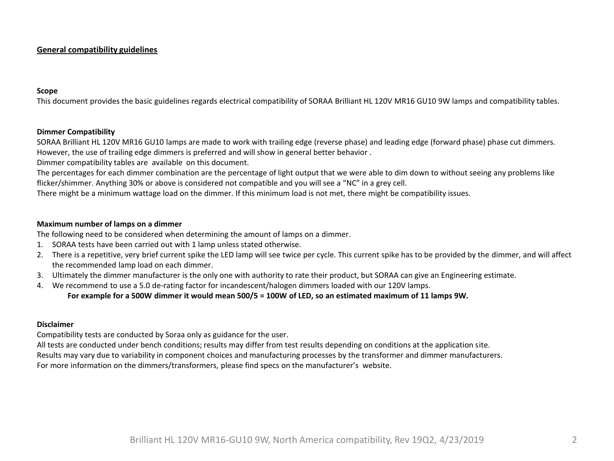### **General compatibility guidelines**

#### **Scope**

This document provides the basic guidelines regards electrical compatibility of SORAA Brilliant HL 120V MR16 GU10 9W lamps and compatibility tables.

#### **Dimmer Compatibility**

SORAA Brilliant HL 120V MR16 GU10 lamps are made to work with trailing edge (reverse phase) and leading edge (forward phase) phase cut dimmers. However, the use of trailing edge dimmers is preferred and will show in general better behavior .

Dimmer compatibility tables are available on this document.

The percentages for each dimmer combination are the percentage of light output that we were able to dim down to without seeing any problems like flicker/shimmer. Anything 30% or above is considered not compatible and you will see a "NC" in a grey cell.

There might be a minimum wattage load on the dimmer. If this minimum load is not met, there might be compatibility issues.

#### **Maximum number of lamps on a dimmer**

The following need to be considered when determining the amount of lamps on a dimmer.

- 1. SORAA tests have been carried out with 1 lamp unless stated otherwise.
- 2. There is a repetitive, very brief current spike the LED lamp will see twice per cycle. This current spike has to be provided by the dimmer, and will affect the recommended lamp load on each dimmer.
- 3. Ultimately the dimmer manufacturer is the only one with authority to rate their product, but SORAA can give an Engineering estimate.
- 4. We recommend to use a 5.0 de-rating factor for incandescent/halogen dimmers loaded with our 120V lamps.

#### **For example for a 500W dimmer it would mean 500/5 = 100W of LED, so an estimated maximum of 11 lamps 9W.**

## **Disclaimer**

Compatibility tests are conducted by Soraa only as guidance for the user.

All tests are conducted under bench conditions; results may differ from test results depending on conditions at the application site.

Results may vary due to variability in component choices and manufacturing processes by the transformer and dimmer manufacturers.

For more information on the dimmers/transformers, please find specs on the manufacturer's website.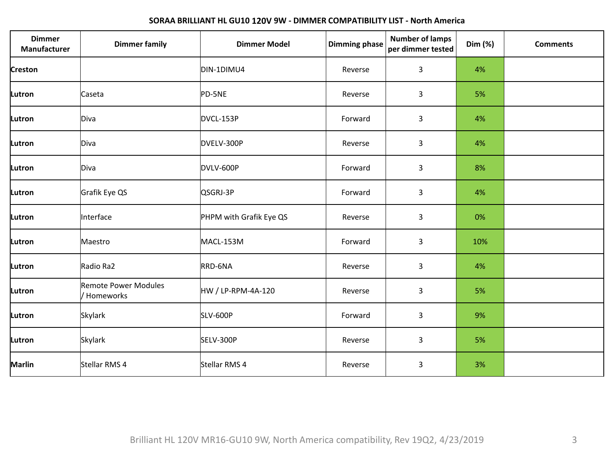## **SORAA BRILLIANT HL GU10 120V 9W - DIMMER COMPATIBILITY LIST - North America**

| <b>Dimmer</b><br>Manufacturer | <b>Dimmer family</b>                       | <b>Dimmer Model</b>     | <b>Dimming phase</b> | <b>Number of lamps</b><br>per dimmer tested | Dim (%) | <b>Comments</b> |
|-------------------------------|--------------------------------------------|-------------------------|----------------------|---------------------------------------------|---------|-----------------|
| <b>Creston</b>                |                                            | DIN-1DIMU4              | Reverse              | 3                                           | 4%      |                 |
| Lutron                        | Caseta                                     | PD-5NE                  | Reverse              | 3                                           | 5%      |                 |
| Lutron                        | Diva                                       | DVCL-153P               | Forward              | 3                                           | 4%      |                 |
| Lutron                        | Diva                                       | DVELV-300P              | Reverse              | 3                                           | 4%      |                 |
| Lutron                        | Diva                                       | DVLV-600P               | Forward              | 3                                           | 8%      |                 |
| Lutron                        | Grafik Eye QS                              | QSGRJ-3P                | Forward              | 3                                           | 4%      |                 |
| Lutron                        | Interface                                  | PHPM with Grafik Eye QS | Reverse              | 3                                           | 0%      |                 |
| Lutron                        | Maestro                                    | MACL-153M               | Forward              | 3                                           | 10%     |                 |
| Lutron                        | Radio Ra2                                  | RRD-6NA                 | Reverse              | 3                                           | 4%      |                 |
| Lutron                        | <b>Remote Power Modules</b><br>/ Homeworks | HW / LP-RPM-4A-120      | Reverse              | 3                                           | 5%      |                 |
| Lutron                        | Skylark                                    | <b>SLV-600P</b>         | Forward              | 3                                           | 9%      |                 |
| Lutron                        | Skylark                                    | SELV-300P               | Reverse              | 3                                           | 5%      |                 |
| Marlin                        | Stellar RMS 4                              | Stellar RMS 4           | Reverse              | 3                                           | 3%      |                 |